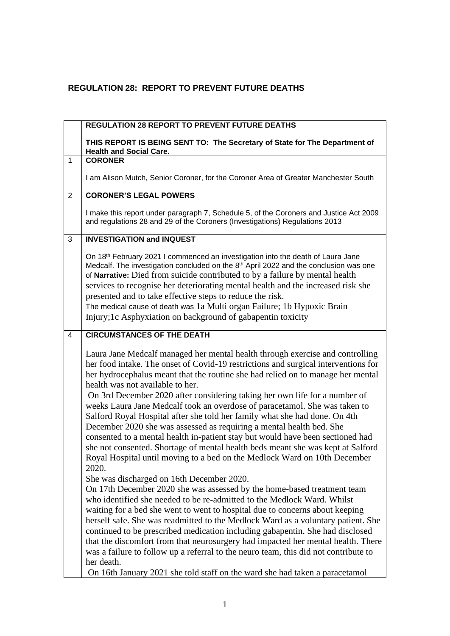## **REGULATION 28: REPORT TO PREVENT FUTURE DEATHS**

|                                                 | <b>REGULATION 28 REPORT TO PREVENT FUTURE DEATHS</b>                                                                                                                                                                                                                                                                                                                                                                                                                                                                                                                                                                                                                                                                                                                                                                                                                    |  |  |
|-------------------------------------------------|-------------------------------------------------------------------------------------------------------------------------------------------------------------------------------------------------------------------------------------------------------------------------------------------------------------------------------------------------------------------------------------------------------------------------------------------------------------------------------------------------------------------------------------------------------------------------------------------------------------------------------------------------------------------------------------------------------------------------------------------------------------------------------------------------------------------------------------------------------------------------|--|--|
|                                                 | THIS REPORT IS BEING SENT TO: The Secretary of State for The Department of<br><b>Health and Social Care.</b>                                                                                                                                                                                                                                                                                                                                                                                                                                                                                                                                                                                                                                                                                                                                                            |  |  |
| $\mathbf{1}$                                    | <b>CORONER</b>                                                                                                                                                                                                                                                                                                                                                                                                                                                                                                                                                                                                                                                                                                                                                                                                                                                          |  |  |
|                                                 | I am Alison Mutch, Senior Coroner, for the Coroner Area of Greater Manchester South                                                                                                                                                                                                                                                                                                                                                                                                                                                                                                                                                                                                                                                                                                                                                                                     |  |  |
| <b>CORONER'S LEGAL POWERS</b><br>$\overline{2}$ |                                                                                                                                                                                                                                                                                                                                                                                                                                                                                                                                                                                                                                                                                                                                                                                                                                                                         |  |  |
|                                                 | I make this report under paragraph 7, Schedule 5, of the Coroners and Justice Act 2009<br>and regulations 28 and 29 of the Coroners (Investigations) Regulations 2013                                                                                                                                                                                                                                                                                                                                                                                                                                                                                                                                                                                                                                                                                                   |  |  |
| 3                                               | <b>INVESTIGATION and INQUEST</b>                                                                                                                                                                                                                                                                                                                                                                                                                                                                                                                                                                                                                                                                                                                                                                                                                                        |  |  |
|                                                 | On 18 <sup>th</sup> February 2021 I commenced an investigation into the death of Laura Jane<br>Medcalf. The investigation concluded on the 8 <sup>th</sup> April 2022 and the conclusion was one<br>of Narrative: Died from suicide contributed to by a failure by mental health<br>services to recognise her deteriorating mental health and the increased risk she<br>presented and to take effective steps to reduce the risk.<br>The medical cause of death was 1a Multi organ Failure; 1b Hypoxic Brain<br>Injury; 1c Asphyxiation on background of gabapentin toxicity                                                                                                                                                                                                                                                                                            |  |  |
| 4                                               | <b>CIRCUMSTANCES OF THE DEATH</b>                                                                                                                                                                                                                                                                                                                                                                                                                                                                                                                                                                                                                                                                                                                                                                                                                                       |  |  |
|                                                 | Laura Jane Medcalf managed her mental health through exercise and controlling<br>her food intake. The onset of Covid-19 restrictions and surgical interventions for<br>her hydrocephalus meant that the routine she had relied on to manage her mental<br>health was not available to her.<br>On 3rd December 2020 after considering taking her own life for a number of<br>weeks Laura Jane Medcalf took an overdose of paracetamol. She was taken to<br>Salford Royal Hospital after she told her family what she had done. On 4th<br>December 2020 she was assessed as requiring a mental health bed. She<br>consented to a mental health in-patient stay but would have been sectioned had<br>she not consented. Shortage of mental health beds meant she was kept at Salford<br>Royal Hospital until moving to a bed on the Medlock Ward on 10th December<br>2020. |  |  |
|                                                 | She was discharged on 16th December 2020.<br>On 17th December 2020 she was assessed by the home-based treatment team<br>who identified she needed to be re-admitted to the Medlock Ward. Whilst<br>waiting for a bed she went to went to hospital due to concerns about keeping<br>herself safe. She was readmitted to the Medlock Ward as a voluntary patient. She<br>continued to be prescribed medication including gabapentin. She had disclosed<br>that the discomfort from that neurosurgery had impacted her mental health. There<br>was a failure to follow up a referral to the neuro team, this did not contribute to<br>her death.<br>On 16th January 2021 she told staff on the ward she had taken a paracetamol                                                                                                                                            |  |  |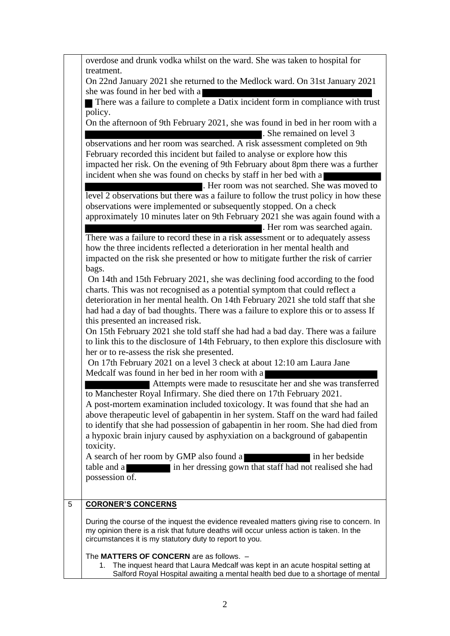|   | overdose and drunk vodka whilst on the ward. She was taken to hospital for<br>treatment.                                                                                             |
|---|--------------------------------------------------------------------------------------------------------------------------------------------------------------------------------------|
|   | On 22nd January 2021 she returned to the Medlock ward. On 31st January 2021                                                                                                          |
|   | she was found in her bed with a                                                                                                                                                      |
|   | There was a failure to complete a Datix incident form in compliance with trust<br>policy.                                                                                            |
|   | On the afternoon of 9th February 2021, she was found in bed in her room with a                                                                                                       |
|   | She remained on level 3<br>observations and her room was searched. A risk assessment completed on 9th                                                                                |
|   | February recorded this incident but failed to analyse or explore how this                                                                                                            |
|   | impacted her risk. On the evening of 9th February about 8pm there was a further                                                                                                      |
|   | incident when she was found on checks by staff in her bed with a                                                                                                                     |
|   | . Her room was not searched. She was moved to<br>level 2 observations but there was a failure to follow the trust policy in how these                                                |
|   | observations were implemented or subsequently stopped. On a check                                                                                                                    |
|   | approximately 10 minutes later on 9th February 2021 she was again found with a                                                                                                       |
|   | . Her rom was searched again.                                                                                                                                                        |
|   | There was a failure to record these in a risk assessment or to adequately assess                                                                                                     |
|   | how the three incidents reflected a deterioration in her mental health and<br>impacted on the risk she presented or how to mitigate further the risk of carrier                      |
|   | bags.                                                                                                                                                                                |
|   | On 14th and 15th February 2021, she was declining food according to the food                                                                                                         |
|   | charts. This was not recognised as a potential symptom that could reflect a                                                                                                          |
|   | deterioration in her mental health. On 14th February 2021 she told staff that she<br>had had a day of bad thoughts. There was a failure to explore this or to assess If              |
|   | this presented an increased risk.                                                                                                                                                    |
|   | On 15th February 2021 she told staff she had had a bad day. There was a failure                                                                                                      |
|   | to link this to the disclosure of 14th February, to then explore this disclosure with                                                                                                |
|   | her or to re-assess the risk she presented.                                                                                                                                          |
|   | On 17th February 2021 on a level 3 check at about 12:10 am Laura Jane<br>Medcalf was found in her bed in her room with a                                                             |
|   | Attempts were made to resuscitate her and she was transferred                                                                                                                        |
|   | to Manchester Royal Infirmary. She died there on 17th February 2021.                                                                                                                 |
|   | A post-mortem examination included toxicology. It was found that she had an                                                                                                          |
|   | above therapeutic level of gabapentin in her system. Staff on the ward had failed<br>to identify that she had possession of gabapentin in her room. She had died from                |
|   | a hypoxic brain injury caused by asphyxiation on a background of gabapentin                                                                                                          |
|   | toxicity.                                                                                                                                                                            |
|   | A search of her room by GMP also found a<br>in her bedside                                                                                                                           |
|   | in her dressing gown that staff had not realised she had<br>table and a<br>possession of.                                                                                            |
|   |                                                                                                                                                                                      |
| 5 | <b>CORONER'S CONCERNS</b>                                                                                                                                                            |
|   |                                                                                                                                                                                      |
|   | During the course of the inquest the evidence revealed matters giving rise to concern. In<br>my opinion there is a risk that future deaths will occur unless action is taken. In the |
|   | circumstances it is my statutory duty to report to you.                                                                                                                              |
|   | The MATTERS OF CONCERN are as follows. -                                                                                                                                             |
|   | 1. The inquest heard that Laura Medcalf was kept in an acute hospital setting at<br>Salford Royal Hospital awaiting a mental health bed due to a shortage of mental                  |